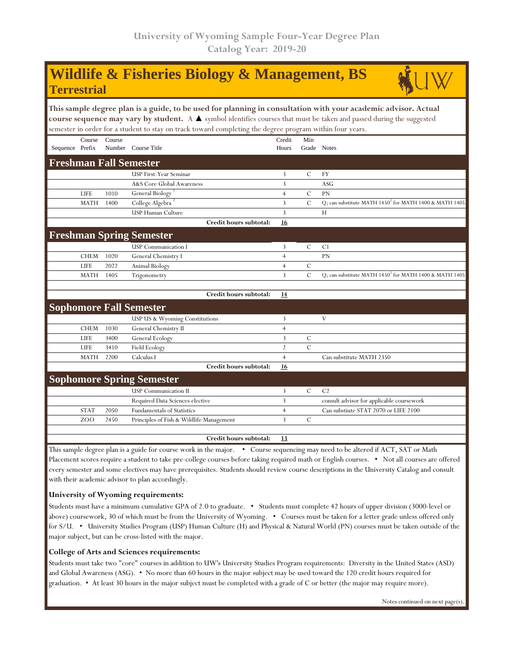## **Wildlife & Fisheries Biology & Management, BS Terrestrial**



**This sample degree plan is a guide, to be used for planning in consultation with your academic advisor. Actual course sequence may vary by student.** A ▲ symbol identifies courses that must be taken and passed during the suggested semester in order for a student to stay on track toward completing the degree program within four years.

|                 | Course      | Course |                                 | Credit         | Min           |                                                                    |
|-----------------|-------------|--------|---------------------------------|----------------|---------------|--------------------------------------------------------------------|
| Sequence Prefix |             | Number | Course Title                    | Hours          | Grade         | <b>Notes</b>                                                       |
|                 |             |        | <b>Freshman Fall Semester</b>   |                |               |                                                                    |
|                 |             |        | <b>USP First-Year Seminar</b>   | 3              | $\mathcal{C}$ | <b>FY</b>                                                          |
|                 |             |        | A&S Core Global Awareness       | 3              |               | <b>ASG</b>                                                         |
|                 | <b>LIFE</b> | 1010   | General Biology                 | $\overline{4}$ | $\mathcal{C}$ | PN                                                                 |
|                 | <b>MATH</b> | 1400   | College Algebra <sup>2</sup>    | 3              | $\mathcal{C}$ | Q; can substitute MATH $1450^2$ for MATH 1400 & MATH 1405          |
|                 |             |        | <b>USP Human Culture</b>        | 3              |               | H                                                                  |
|                 |             |        | Credit hours subtotal:          | 16             |               |                                                                    |
|                 |             |        | <b>Freshman Spring Semester</b> |                |               |                                                                    |
|                 |             |        | <b>USP</b> Communication I      | 3              | $\mathcal{C}$ | C <sub>1</sub>                                                     |
|                 | <b>CHEM</b> | 1020   | General Chemistry I             | $\overline{4}$ |               | <b>PN</b>                                                          |
|                 | <b>LIFE</b> | 2022   | Animal Biology                  | $\overline{4}$ | $\mathcal{C}$ |                                                                    |
|                 | <b>MATH</b> | 1405   | Trigonometry                    | 3              | $\mathcal{C}$ | Q; can substitute MATH 1450 <sup>2</sup> for MATH 1400 & MATH 1405 |
|                 |             |        |                                 |                |               |                                                                    |
|                 |             |        | Credit hours subtotal:          | 14             |               |                                                                    |
|                 |             |        | <b>Sophomore Fall Semester</b>  |                |               |                                                                    |
|                 |             |        | USP US & Wyoming Constitutions  | 3              |               | V                                                                  |
|                 | <b>CHEM</b> | 1030   | General Chemistry II            | $\overline{4}$ |               |                                                                    |
|                 | <b>LIFE</b> | 3400   | General Ecology                 | 3              | $\mathcal{C}$ |                                                                    |
|                 | <b>LIFE</b> | 3410   | Field Ecology                   | $\overline{2}$ | $\mathcal{C}$ |                                                                    |
|                 | <b>MATH</b> | 2200   | Calculus I                      | $\overline{4}$ |               | Can substitute MATH 2350                                           |
|                 |             |        | Credit hours subtotal:          | 16             |               |                                                                    |

|        |      | <b>Sophomore Spring Semester</b>         |  |                                           |
|--------|------|------------------------------------------|--|-------------------------------------------|
|        |      | <b>USP</b> Communication II              |  | C2                                        |
|        |      | Required Data Sciences elective          |  | consult advisor for applicable coursework |
| ST A 1 | 2050 | <b>Fundamentals of Statistics</b>        |  | Can substiute STAT 2070 or LIFE 2100      |
| ZOO    | 2450 | Principles of Fish & Wildlife Management |  |                                           |

**Credit hours subtotal: 13**

This sample degree plan is a guide for course work in the major. • Course sequencing may need to be altered if ACT, SAT or Math Placement scores require a student to take pre-college courses before taking required math or English courses. • Not all courses are offered every semester and some electives may have prerequisites. Students should review course descriptions in the University Catalog and consult with their academic advisor to plan accordingly.

## **University of Wyoming requirements:**

Students must have a minimum cumulative GPA of 2.0 to graduate. • Students must complete 42 hours of upper division (3000-level or above) coursework, 30 of which must be from the University of Wyoming. • Courses must be taken for a letter grade unless offered only for S/U. • University Studies Program (USP) Human Culture (H) and Physical & Natural World (PN) courses must be taken outside of the major subject, but can be cross-listed with the major.

## **College of Arts and Sciences requirements:**

Students must take two "core" courses in addition to UW's University Studies Program requirements: Diversity in the United States (ASD) and Global Awareness (ASG). • No more than 60 hours in the major subject may be used toward the 120 credit hours required for graduation. • At least 30 hours in the major subject must be completed with a grade of C or better (the major may require more).